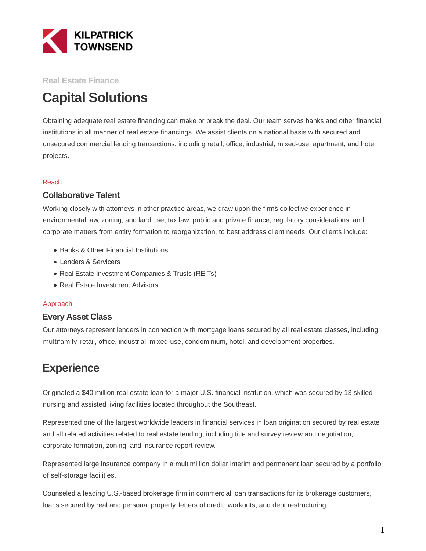

### **Real Estate Finance**

# **Capital Solutions**

Obtaining adequate real estate financing can make or break the deal. Our team serves banks and other financial institutions in all manner of real estate financings. We assist clients on a national basis with secured and unsecured commercial lending transactions, including retail, office, industrial, mixed-use, apartment, and hotel projects.

#### Reach

#### **Collaborative Talent**

Working closely with attorneys in other practice areas, we draw upon the firm's collective experience in environmental law, zoning, and land use; tax law; public and private finance; regulatory considerations; and corporate matters from entity formation to reorganization, to best address client needs. Our clients include:

- Banks & Other Financial Institutions
- Lenders & Servicers
- Real Estate Investment Companies & Trusts (REITs)
- Real Estate Investment Advisors

#### Approach

#### **Every Asset Class**

Our attorneys represent lenders in connection with mortgage loans secured by all real estate classes, including multifamily, retail, office, industrial, mixed-use, condominium, hotel, and development properties.

## **Experience**

Originated a \$40 million real estate loan for a major U.S. financial institution, which was secured by 13 skilled nursing and assisted living facilities located throughout the Southeast.

Represented one of the largest worldwide leaders in financial services in loan origination secured by real estate and all related activities related to real estate lending, including title and survey review and negotiation, corporate formation, zoning, and insurance report review.

Represented large insurance company in a multimillion dollar interim and permanent loan secured by a portfolio of self-storage facilities.

Counseled a leading U.S.-based brokerage firm in commercial loan transactions for its brokerage customers, loans secured by real and personal property, letters of credit, workouts, and debt restructuring.